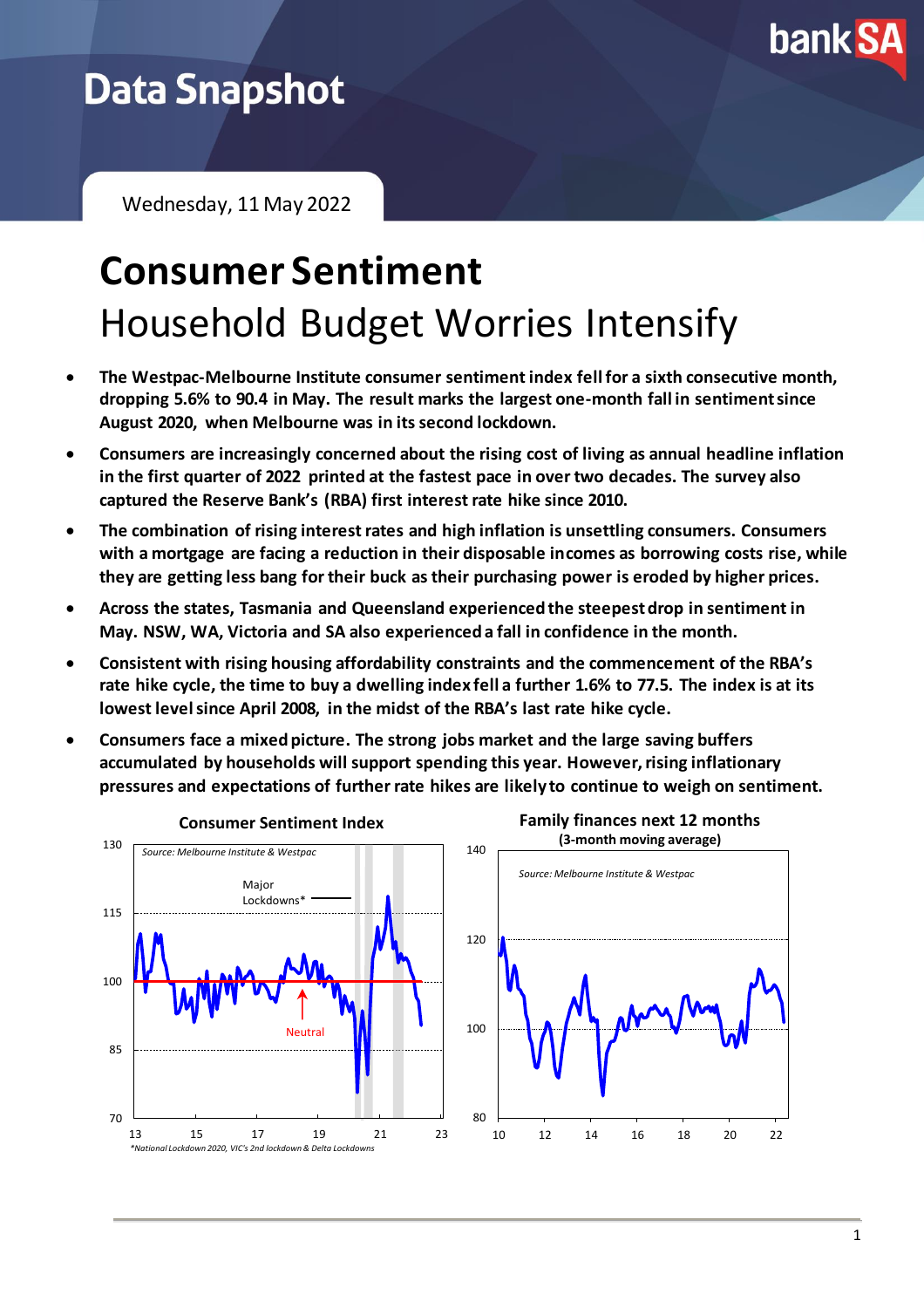

## **Data Snapshot**

Wednesday, 11 May 2022

## **Consumer Sentiment** Household Budget Worries Intensify

- **The Westpac-Melbourne Institute consumer sentiment index fell for a sixth consecutive month, dropping 5.6% to 90.4 in May. The result marks the largest one-month fall in sentiment since August 2020, when Melbourne was in its second lockdown.**
- **Consumers are increasingly concerned about the rising cost of living as annual headline inflation in the first quarter of 2022 printed at the fastest pace in over two decades. The survey also captured the Reserve Bank's (RBA) first interest rate hike since 2010.**
- **The combination of rising interest rates and high inflation is unsettling consumers. Consumers with a mortgage are facing a reduction in their disposable incomes as borrowing costs rise, while they are getting less bang for their buck as their purchasing power is eroded by higher prices.**
- **Across the states, Tasmania and Queensland experienced the steepest drop in sentiment in May. NSW, WA, Victoria and SA also experienced a fall in confidence in the month.**
- **Consistent with rising housing affordability constraints and the commencement of the RBA's rate hike cycle, the time to buy a dwelling index fell a further 1.6% to 77.5. The index is at its lowest level since April 2008, in the midst of the RBA's last rate hike cycle.**
- **Consumers face a mixed picture. The strong jobs market and the large saving buffers accumulated by households will support spending this year. However,rising inflationary pressures and expectations of further rate hikes are likely to continue to weigh on sentiment.**

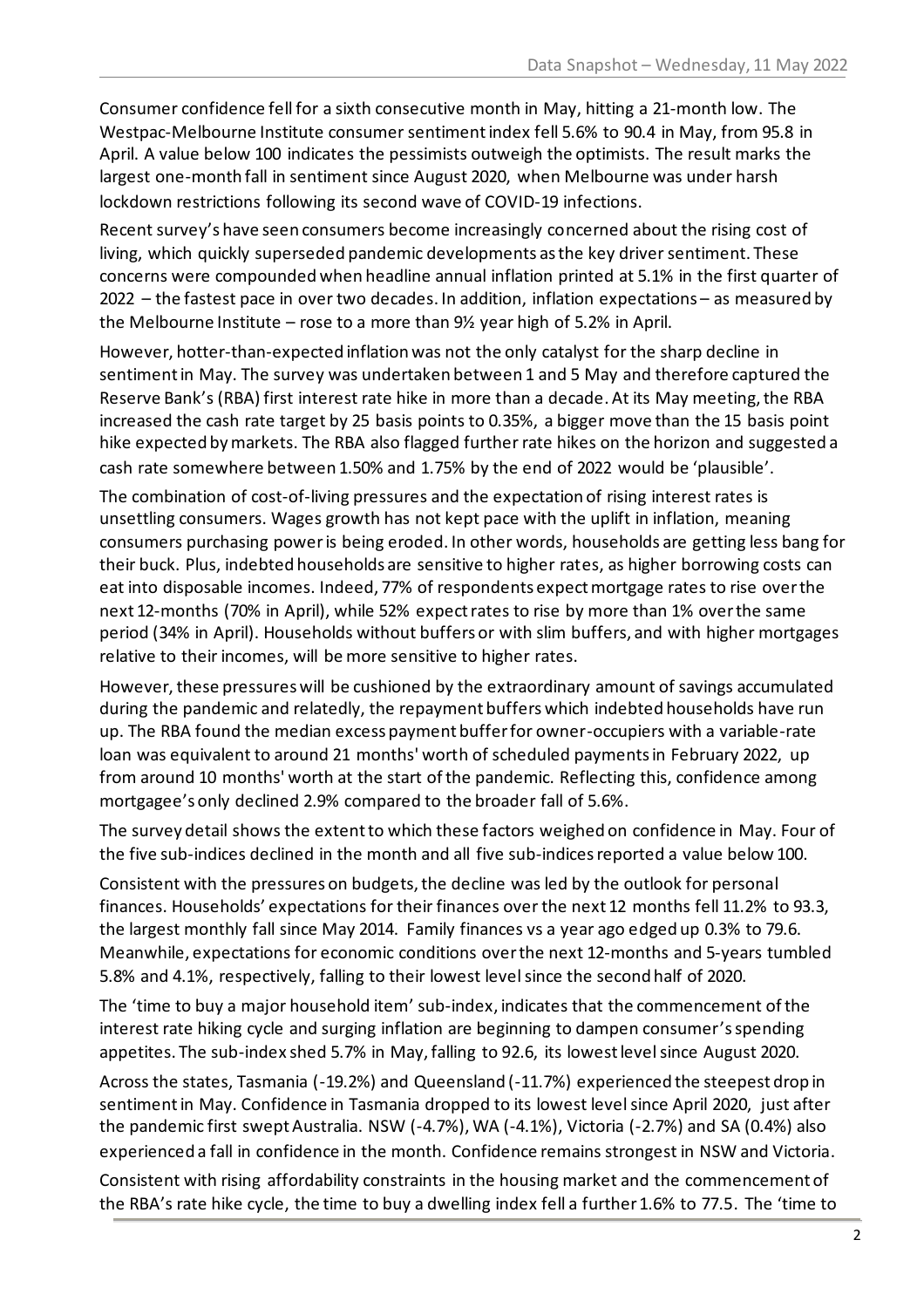Consumer confidence fell for a sixth consecutive month in May, hitting a 21-month low. The Westpac-Melbourne Institute consumer sentiment index fell 5.6% to 90.4 in May, from 95.8 in April. A value below 100 indicates the pessimists outweigh the optimists. The result marks the largest one-month fall in sentiment since August 2020, when Melbourne was under harsh lockdown restrictions following its second wave of COVID-19 infections.

Recent survey's have seen consumers become increasingly concerned about the rising cost of living, which quickly superseded pandemic developments as the key driver sentiment. These concerns were compounded when headline annual inflation printed at 5.1% in the first quarter of 2022 – the fastest pace in over two decades. In addition, inflation expectations – as measured by the Melbourne Institute – rose to a more than 9½ year high of 5.2% in April.

However, hotter-than-expected inflation was not the only catalyst for the sharp decline in sentiment in May. The survey was undertaken between 1 and 5 May and therefore captured the Reserve Bank's (RBA) first interest rate hike in more than a decade. At its May meeting, the RBA increased the cash rate target by 25 basis points to 0.35%, a bigger move than the 15 basis point hike expected by markets. The RBA also flagged further rate hikes on the horizon and suggested a cash rate somewhere between 1.50% and 1.75% by the end of 2022 would be 'plausible'.

The combination of cost-of-living pressures and the expectation of rising interest rates is unsettling consumers. Wages growth has not kept pace with the uplift in inflation, meaning consumers purchasing poweris being eroded. In other words, households are getting less bang for their buck. Plus, indebted households are sensitive to higher rates, as higher borrowing costs can eat into disposable incomes. Indeed, 77% of respondents expect mortgage rates to rise over the next 12-months (70% in April), while 52% expect rates to rise by more than 1% over the same period (34% in April). Households without buffers or with slim buffers, and with higher mortgages relative to their incomes, will be more sensitive to higher rates.

However, these pressures will be cushioned by the extraordinary amount of savings accumulated during the pandemic and relatedly, the repayment buffers which indebted households have run up. The RBA found the median excess payment buffer for owner-occupiers with a variable-rate loan was equivalent to around 21 months' worth of scheduled payments in February 2022, up from around 10 months' worth at the start of the pandemic. Reflecting this, confidence among mortgagee's only declined 2.9% compared to the broader fall of 5.6%.

The survey detail shows the extent to which these factors weighed on confidence in May. Four of the five sub-indices declined in the month and all five sub-indices reported a value below 100.

Consistent with the pressures on budgets, the decline was led by the outlook for personal finances. Households' expectations for their finances over the next 12 months fell 11.2% to 93.3, the largest monthly fall since May 2014. Family finances vs a year ago edged up 0.3% to 79.6. Meanwhile, expectations for economic conditions over the next 12-months and 5-years tumbled 5.8% and 4.1%, respectively, falling to their lowest level since the second half of 2020.

The 'time to buy a major household item' sub-index, indicates that the commencement ofthe interest rate hiking cycle and surging inflation are beginning to dampen consumer's spending appetites. The sub-index shed 5.7% in May, falling to 92.6, its lowest level since August 2020.

Across the states, Tasmania (-19.2%) and Queensland (-11.7%) experienced the steepest drop in sentimentin May. Confidence in Tasmania dropped to its lowest level since April 2020, just after the pandemic first swept Australia. NSW (-4.7%), WA (-4.1%), Victoria (-2.7%) and SA (0.4%) also experienced a fall in confidence in the month. Confidence remains strongest in NSW and Victoria. Consistent with rising affordability constraints in the housing market and the commencement of the RBA's rate hike cycle, the time to buy a dwelling index fell a further 1.6% to 77.5. The 'time to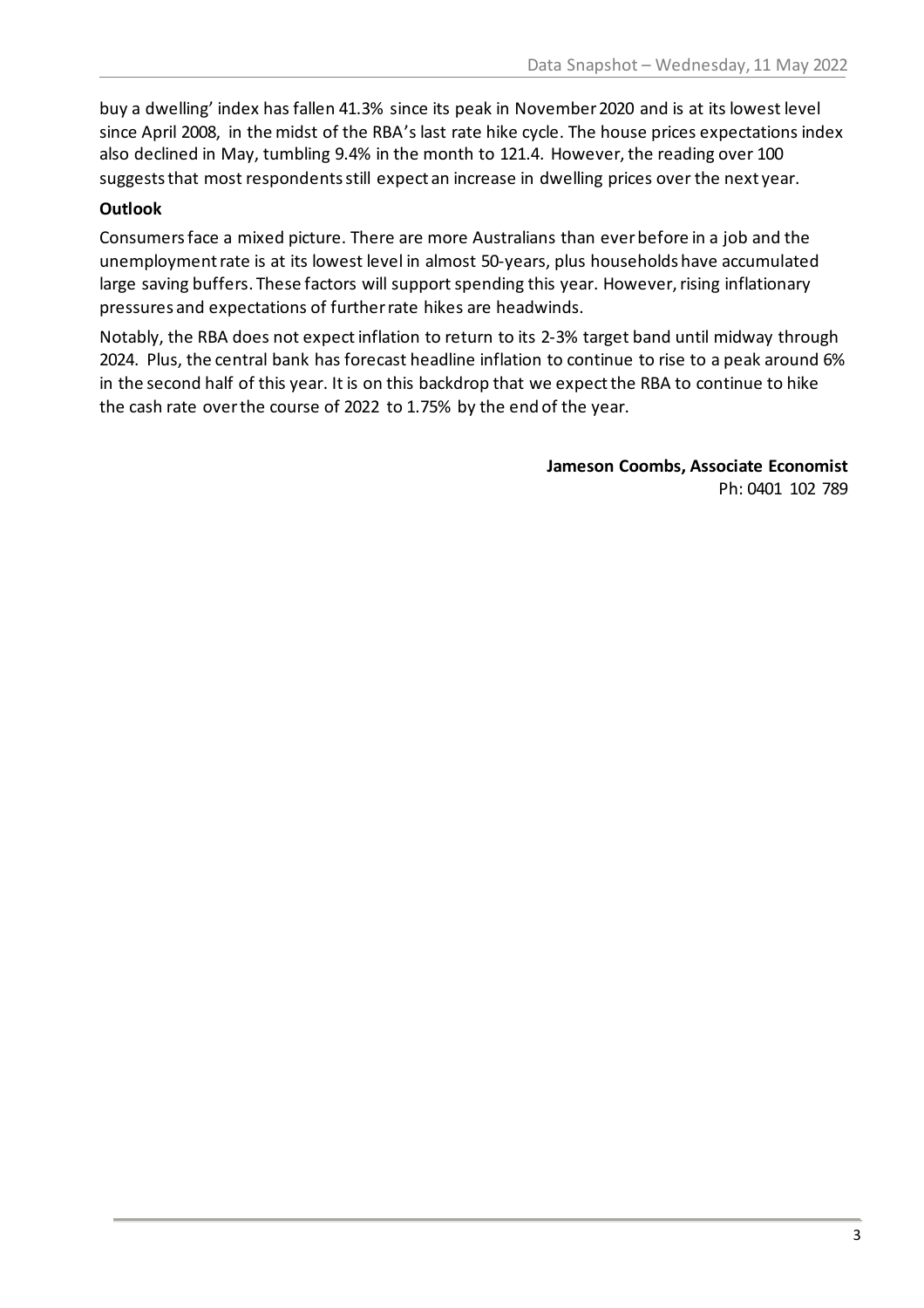buy a dwelling' index has fallen 41.3% since its peak in November 2020 and is at its lowest level since April 2008, in the midst of the RBA's last rate hike cycle. The house prices expectations index also declined in May, tumbling 9.4% in the month to 121.4. However, the reading over 100 suggests that most respondents still expect an increase in dwelling prices over the next year.

## **Outlook**

Consumers face a mixed picture. There are more Australians than ever before in a job and the unemployment rate is at its lowest level in almost 50-years, plus households have accumulated large saving buffers. These factors will support spending this year. However, rising inflationary pressures and expectations of further rate hikes are headwinds.

Notably, the RBA does not expectinflation to return to its 2-3% target band until midway through 2024. Plus, the central bank has forecast headline inflation to continue to rise to a peak around 6% in the second half of this year. It is on this backdrop that we expect the RBA to continue to hike the cash rate over the course of 2022 to 1.75% by the end of the year.

> **Jameson Coombs, Associate Economist** Ph: 0401 102 789